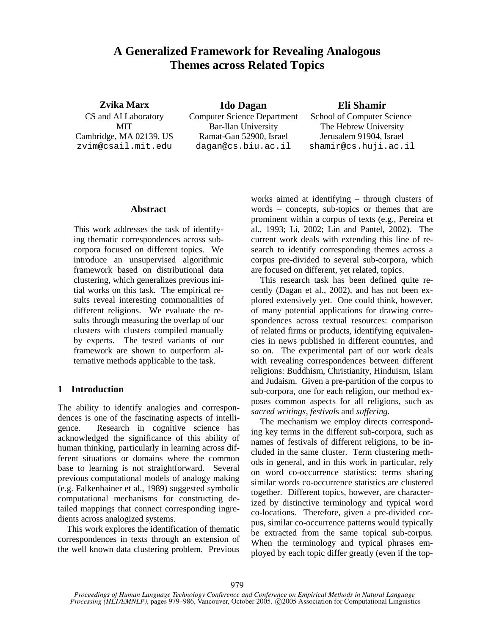# **A Generalized Framework for Revealing Analogous Themes across Related Topics**

**Zvika Marx Ido Dagan Eli Shamir** CS and AI Laboratory Computer Science Department School of Computer Science MIT Bar-Ilan University The Hebrew University Cambridge, MA 02139, US Ramat-Gan 52900, Israel Jerusalem 91904, Israel zvim@csail.mit.edu dagan@cs.biu.ac.il shamir@cs.huji.ac.il

#### **Abstract**

This work addresses the task of identifying thematic correspondences across subcorpora focused on different topics. We introduce an unsupervised algorithmic framework based on distributional data clustering, which generalizes previous initial works on this task. The empirical results reveal interesting commonalities of different religions. We evaluate the results through measuring the overlap of our clusters with clusters compiled manually by experts. The tested variants of our framework are shown to outperform alternative methods applicable to the task.

# **1 Introduction**

The ability to identify analogies and correspondences is one of the fascinating aspects of intelligence. Research in cognitive science has acknowledged the significance of this ability of human thinking, particularly in learning across different situations or domains where the common base to learning is not straightforward. Several previous computational models of analogy making (e.g. Falkenhainer et al., 1989) suggested symbolic computational mechanisms for constructing detailed mappings that connect corresponding ingredients across analogized systems.

This work explores the identification of thematic correspondences in texts through an extension of the well known data clustering problem. Previous

works aimed at identifying – through clusters of words – concepts, sub-topics or themes that are prominent within a corpus of texts (e.g., Pereira et al., 1993; Li, 2002; Lin and Pantel, 2002). The current work deals with extending this line of research to identify corresponding themes across a corpus pre-divided to several sub-corpora, which are focused on different, yet related, topics.

This research task has been defined quite recently (Dagan et al., 2002), and has not been explored extensively yet. One could think, however, of many potential applications for drawing correspondences across textual resources: comparison of related firms or products, identifying equivalencies in news published in different countries, and so on. The experimental part of our work deals with revealing correspondences between different religions: Buddhism, Christianity, Hinduism, Islam and Judaism. Given a pre-partition of the corpus to sub-corpora, one for each religion, our method exposes common aspects for all religions, such as *sacred writings*, *festival*s and *suffering*.

The mechanism we employ directs corresponding key terms in the different sub-corpora, such as names of festivals of different religions, to be included in the same cluster. Term clustering methods in general, and in this work in particular, rely on word co-occurrence statistics: terms sharing similar words co-occurrence statistics are clustered together. Different topics, however, are characterized by distinctive terminology and typical word co-locations. Therefore, given a pre-divided corpus, similar co-occurrence patterns would typically be extracted from the same topical sub-corpus. When the terminology and typical phrases employed by each topic differ greatly (even if the top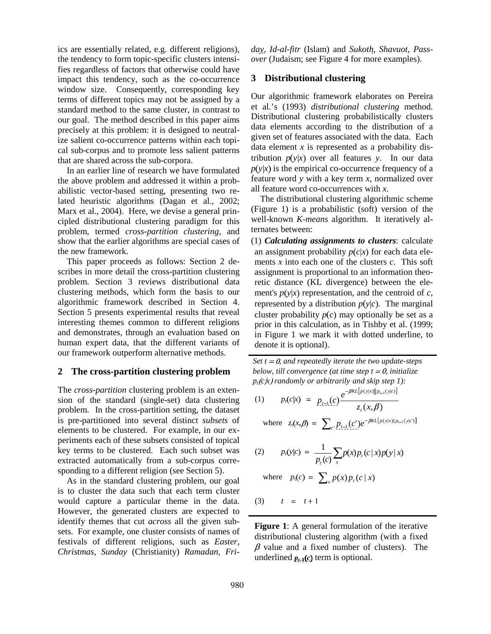ics are essentially related, e.g. different religions), the tendency to form topic-specific clusters intensifies regardless of factors that otherwise could have impact this tendency, such as the co-occurrence window size. Consequently, corresponding key terms of different topics may not be assigned by a standard method to the same cluster, in contrast to our goal. The method described in this paper aims precisely at this problem: it is designed to neutralize salient co-occurrence patterns within each topical sub-corpus and to promote less salient patterns that are shared across the sub-corpora.

In an earlier line of research we have formulated the above problem and addressed it within a probabilistic vector-based setting, presenting two related heuristic algorithms (Dagan et al., 2002; Marx et al., 2004). Here, we devise a general principled distributional clustering paradigm for this problem, termed *cross-partition clustering*, and show that the earlier algorithms are special cases of the new framework.

This paper proceeds as follows: Section 2 describes in more detail the cross-partition clustering problem. Section 3 reviews distributional data clustering methods, which form the basis to our algorithmic framework described in Section 4. Section 5 presents experimental results that reveal interesting themes common to different religions and demonstrates, through an evaluation based on human expert data, that the different variants of our framework outperform alternative methods.

## **2 The cross-partition clustering problem**

The *cross-partition* clustering problem is an extension of the standard (single-set) data clustering problem. In the cross-partition setting, the dataset is pre-partitioned into several distinct *subsets* of elements to be clustered. For example, in our experiments each of these subsets consisted of topical key terms to be clustered. Each such subset was extracted automatically from a sub-corpus corresponding to a different religion (see Section 5).

As in the standard clustering problem, our goal is to cluster the data such that each term cluster would capture a particular theme in the data. However, the generated clusters are expected to identify themes that cut *across* all the given subsets. For example, one cluster consists of names of festivals of different religions, such as *Easter*, *Christmas*, *Sunday* (Christianity) *Ramadan*, *Fri-* *day*, *Id-al-fitr* (Islam) and *Sukoth*, *Shavuot*, *Passover* (Judaism; see Figure 4 for more examples).

## **3 Distributional clustering**

Our algorithmic framework elaborates on Pereira et al.'s (1993) *distributional clustering* method. Distributional clustering probabilistically clusters data elements according to the distribution of a given set of features associated with the data. Each data element *x* is represented as a probability distribution  $p(y|x)$  over all features *y*. In our data  $p(y|x)$  is the empirical co-occurrence frequency of a feature word *y* with a key term *x*, normalized over all feature word co-occurrences with *x*.

The distributional clustering algorithmic scheme (Figure 1) is a probabilistic (soft) version of the well-known *K-means* algorithm. It iteratively alternates between:

(1) *Calculating assignments to clusters*: calculate an assignment probability  $p(c|x)$  for each data elements  $x$  into each one of the clusters  $c$ . This soft assignment is proportional to an information theoretic distance (KL divergence) between the element's  $p(y|x)$  representation, and the centroid of  $c$ , represented by a distribution  $p(y|c)$ . The marginal cluster probability  $p(c)$  may optionally be set as a prior in this calculation, as in Tishby et al. (1999; in Figure 1 we mark it with dotted underline, to denote it is optional).

*Set*  $t = 0$ , *and repeatedly iterate the two update-steps below, till convergence (at time step*  $t = 0$ *, <i>initialize*  $p_t$ ( $c$  $\uparrow$  $\uparrow$ ) *randomly or arbitrarily and skip step 1):*  $-\beta KL[p(y|x) || p_{t-1}(y|c)]$ 

(1) 
$$
p_t(c|x) = p_{t-1}(c) \frac{e^{-\beta KL[p(y|x)||p_{t-1}(y|c)]}}{z_t(x,\beta)}
$$

where  $z_t(x, \beta) = \sum_{c} p_{t-1}(c') e^{-\beta KL[p(y|x)||p_{t-1}(y|c')]}$  $p_{t-1}(c')e^{-\beta KL[p(y|x)||p_{t-1}(y|x)]}$ 

(2) 
$$
p_t(y|c) = \frac{1}{p_t(c)} \sum_{x} p(x) p_t(c|x) p(y|x)
$$

where 
$$
p_t(c) = \sum_x p(x) p_t(c | x)
$$

$$
(3) \qquad t = t+1
$$

**Figure 1**: A general formulation of the iterative distributional clustering algorithm (with a fixed  $\beta$  value and a fixed number of clusters). The underlined  $p_{t-1}(c)$  term is optional.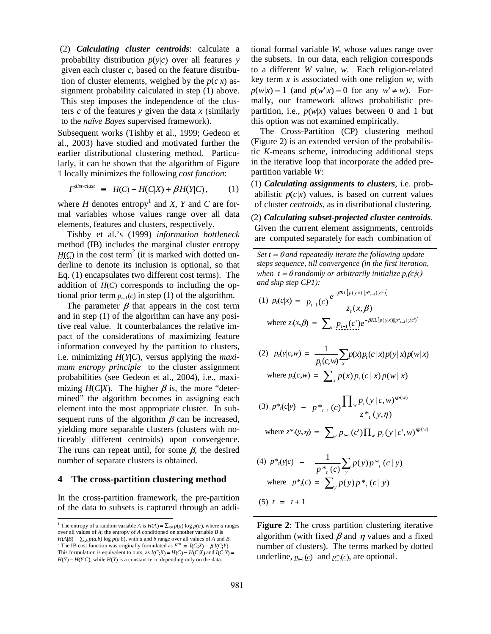(2) *Calculating cluster centroids*: calculate a probability distribution  $p(y|c)$  over all features *y* given each cluster *c*, based on the feature distribution of cluster elements, weighed by the  $p(c|x)$  assignment probability calculated in step (1) above. This step imposes the independence of the clusters *c* of the features *y* given the data *x* (similarly to the *naïve Bayes* supervised framework).

Subsequent works (Tishby et al., 1999; Gedeon et al., 2003) have studied and motivated further the earlier distributional clustering method. Particularly, it can be shown that the algorithm of Figure 1 locally minimizes the following *cost function*:

$$
F^{dist\text{-}clust} \equiv H(C) - H(C|X) + \beta H(Y|C), \qquad (1)
$$

where  $H$  denotes entropy<sup>1</sup> and  $X$ ,  $Y$  and  $C$  are formal variables whose values range over all data elements, features and clusters, respectively.

Tishby et al.'s (1999) *information bottleneck* method (IB) includes the marginal cluster entropy  $H(C)$  in the cost term<sup>2</sup> (it is marked with dotted underline to denote its inclusion is optional, so that Eq. (1) encapsulates two different cost terms). The addition of  $H(C)$  corresponds to including the optional prior term  $p_{t-1}(c)$  in step (1) of the algorithm.

The parameter  $\beta$  that appears in the cost term and in step (1) of the algorithm can have any positive real value. It counterbalances the relative impact of the considerations of maximizing feature information conveyed by the partition to clusters, i.e. minimizing  $H(Y|C)$ , versus applying the *maximum entropy principle* to the cluster assignment probabilities (see Gedeon et al., 2004), i.e., maximizing  $H(C|X)$ . The higher  $\beta$  is, the more "determined" the algorithm becomes in assigning each element into the most appropriate cluster. In subsequent runs of the algorithm  $\beta$  can be increased, yielding more separable clusters (clusters with noticeably different centroids) upon convergence. The runs can repeat until, for some  $\beta$ , the desired number of separate clusters is obtained.

#### **4 The cross-partition clustering method**

In the cross-partition framework, the pre-partition of the data to subsets is captured through an additional formal variable *W*, whose values range over the subsets. In our data, each religion corresponds to a different *W* value, *w*. Each religion-related key term *x* is associated with one religion *w*, with  $p(w|x) = 1$  (and  $p(w'|x) = 0$  for any  $w' \neq w$ ). Formally, our framework allows probabilistic prepartition, i.e.,  $p(w|x)$  values between 0 and 1 but this option was not examined empirically.

The Cross-Partition (CP) clustering method (Figure 2) is an extended version of the probabilistic *K*-means scheme, introducing additional steps in the iterative loop that incorporate the added prepartition variable *W*:

(1) *Calculating assignments to clusters*, i.e. probabilistic  $p(c|x)$  values, is based on current values of cluster *centroids*, as in distributional clustering.

(2) *Calculating subset-projected cluster centroids*. Given the current element assignments, centroids are computed separately for each combination of

*Set*  $t = 0$  *and repeatedly iterate the following update steps sequence, till convergence (in the first iteration, when*  $t = 0$  *randomly or arbitrarily initialize*  $p_t(c|x)$ *and skip step CP1):*

(1) 
$$
p_t(c|x) = \frac{p_{t-1}(c)}{2} \frac{e^{-\beta KL[p(y|x)||p_{t-1}(y|c)]}}{z_t(x, \beta)}
$$
  
where  $z_t(x, \beta) = \sum_{c} \frac{p_{t-1}(c^t)e^{-\beta KL[p(y|x)||p_{t-1}(y|c)]}}{2}$ 

(2) 
$$
p_t(y|c,w) = \frac{1}{p_t(c,w)} \sum_{x} p(x) p_t(c|x) p(y|x) p(w|x)
$$

where 
$$
p_t(c,w) = \sum_x p(x) p_t(c | x) p(w | x)
$$

(3) 
$$
p^*[c|y] = p^*_{t-1}(c) \frac{\prod_w p_t(y|c,w)^{np(w)}}{z^*_{t}(y,\eta)}
$$

where  $z^*(y, \eta) = \sum_{c} p_{t-1}(c') \prod_w p_t(y | c', w)^{\eta p(w)}$  $p_{t-1}(c')\prod_{w}p_t(y|c',w)^{\eta p(w)}$ 

(4) 
$$
p^*[y|c] = \frac{1}{p^*_{t}(c)} \sum_{y} p(y) p^*_{t}(c | y)
$$
  
where  $p^*[c] = \sum_{y} p(y) p^*_{t}(c | y)$ 

(5) 
$$
t = t + 1
$$

**Figure 2**: The cross partition clustering iterative algorithm (with fixed  $\beta$  and  $\eta$  values and a fixed number of clusters). The terms marked by dotted underline,  $p_{t-1}(c)$  and  $p^*(c)$ , are optional.

<sup>&</sup>lt;sup>1</sup> The entropy of a random variable *A* is  $H(A) = \sum_{a,b} p(a) \log p(a)$ , where *a* ranges over all values of *A*; the entropy of *A* conditioned on another variable *B* is  $H(A|B) = \sum_{a,b} p(a,b) \log p(a|b)$ , with *a* and *b* range over all values of *A* and *B*. <sup>2</sup> The IB cost function was originally formulated as  $F^{IB} \equiv I(C;X) - \beta I(C;Y)$ . This formulation is equivalent to ours, as  $I(C;X) = H(C) - H(C|X)$  and  $I(C;Y) =$  $H(Y) - H(Y|C)$ , while  $H(Y)$  is a constant term depending only on the data.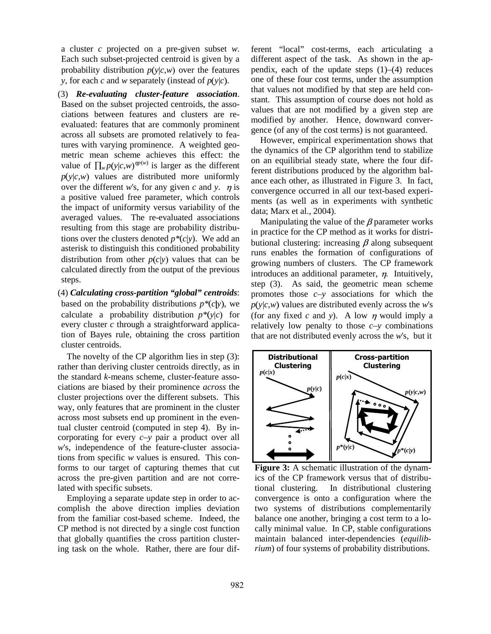a cluster *c* projected on a pre-given subset *w*. Each such subset-projected centroid is given by a probability distribution  $p(y|c,w)$  over the features *y*, for each *c* and *w* separately (instead of  $p(y|c)$ .

- (3) *Re-evaluating cluster-feature association*. Based on the subset projected centroids, the associations between features and clusters are reevaluated: features that are commonly prominent across all subsets are promoted relatively to features with varying prominence. A weighted geometric mean scheme achieves this effect: the value of  $\prod_{w} p(y|c,w)^{np(w)}$  is larger as the different  $p(y|c,w)$  values are distributed more uniformly over the different *w*'s, for any given *c* and *y*.  $\eta$  is a positive valued free parameter, which controls the impact of uniformity versus variability of the averaged values. The re-evaluated associations resulting from this stage are probability distributions over the clusters denoted  $p^*(c|y)$ . We add an asterisk to distinguish this conditioned probability distribution from other  $p(c|y)$  values that can be calculated directly from the output of the previous steps.
- (4) *Calculating cross-partition "global" centroids*: based on the probability distributions  $p^*(c|y)$ , we calculate a probability distribution  $p^*(y|c)$  for every cluster *c* through a straightforward application of Bayes rule, obtaining the cross partition cluster centroids.

The novelty of the CP algorithm lies in step (3): rather than deriving cluster centroids directly, as in the standard *k*-means scheme, cluster-feature associations are biased by their prominence *across* the cluster projections over the different subsets. This way, only features that are prominent in the cluster across most subsets end up prominent in the eventual cluster centroid (computed in step 4). By incorporating for every *c*–*y* pair a product over all *w*'s, independence of the feature-cluster associations from specific *w* values is ensured. This conforms to our target of capturing themes that cut across the pre-given partition and are not correlated with specific subsets.

Employing a separate update step in order to accomplish the above direction implies deviation from the familiar cost-based scheme. Indeed, the CP method is not directed by a single cost function that globally quantifies the cross partition clustering task on the whole. Rather, there are four different "local" cost-terms, each articulating a different aspect of the task. As shown in the appendix, each of the update steps  $(1)$ – $(4)$  reduces one of these four cost terms, under the assumption that values not modified by that step are held constant. This assumption of course does not hold as values that are not modified by a given step are modified by another. Hence, downward convergence (of any of the cost terms) is not guaranteed.

However, empirical experimentation shows that the dynamics of the CP algorithm tend to stabilize on an equilibrial steady state, where the four different distributions produced by the algorithm balance each other, as illustrated in Figure 3. In fact, convergence occurred in all our text-based experiments (as well as in experiments with synthetic data; Marx et al., 2004).

Manipulating the value of the  $\beta$  parameter works in practice for the CP method as it works for distributional clustering: increasing  $\beta$  along subsequent runs enables the formation of configurations of growing numbers of clusters. The CP framework introduces an additional parameter,  $\eta$ . Intuitively, step (3). As said, the geometric mean scheme promotes those *c*–*y* associations for which the  $p(y|c,w)$  values are distributed evenly across the *w*'s (for any fixed  $c$  and  $y$ ). A low  $\eta$  would imply a relatively low penalty to those  $c-y$  combinations that are not distributed evenly across the *w*'s, but it



**Figure 3:** A schematic illustration of the dynamics of the CP framework versus that of distributional clustering. In distributional clustering convergence is onto a configuration where the two systems of distributions complementarily balance one another, bringing a cost term to a locally minimal value. In CP, stable configurations maintain balanced inter-dependencies (*equilibrium*) of four systems of probability distributions.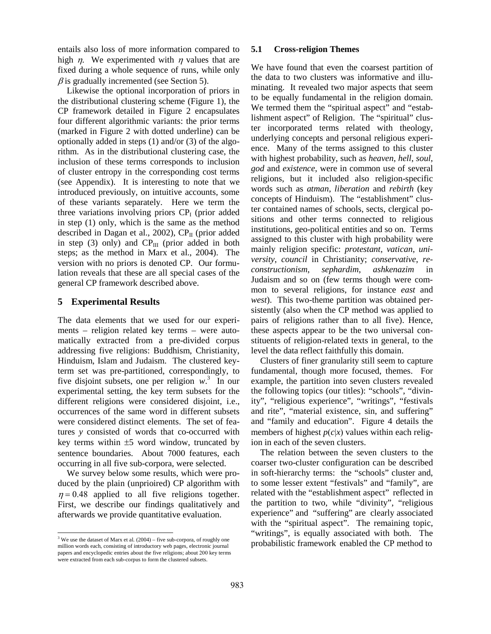entails also loss of more information compared to high  $\eta$ . We experimented with  $\eta$  values that are fixed during a whole sequence of runs, while only  $\beta$  is gradually incremented (see Section 5).

Likewise the optional incorporation of priors in the distributional clustering scheme (Figure 1), the CP framework detailed in Figure 2 encapsulates four different algorithmic variants: the prior terms (marked in Figure 2 with dotted underline) can be optionally added in steps (1) and/or (3) of the algorithm. As in the distributional clustering case, the inclusion of these terms corresponds to inclusion of cluster entropy in the corresponding cost terms (see Appendix). It is interesting to note that we introduced previously, on intuitive accounts, some of these variants separately. Here we term the three variations involving priors  $CP<sub>I</sub>$  (prior added in step (1) only, which is the same as the method described in Dagan et al., 2002),  $CP<sub>II</sub>$  (prior added in step (3) only) and  $CP_{III}$  (prior added in both steps; as the method in Marx et al., 2004). The version with no priors is denoted CP. Our formulation reveals that these are all special cases of the general CP framework described above.

## **5 Experimental Results**

The data elements that we used for our experiments – religion related key terms – were automatically extracted from a pre-divided corpus addressing five religions: Buddhism, Christianity, Hinduism, Islam and Judaism. The clustered keyterm set was pre-partitioned, correspondingly, to five disjoint subsets, one per religion  $w^3$ . In our experimental setting, the key term subsets for the different religions were considered disjoint, i.e., occurrences of the same word in different subsets were considered distinct elements. The set of features *y* consisted of words that co-occurred with key terms within  $\pm 5$  word window, truncated by sentence boundaries. About 7000 features, each occurring in all five sub-corpora, were selected.

We survey below some results, which were produced by the plain (unprioired) CP algorithm with  $n = 0.48$  applied to all five religions together. First, we describe our findings qualitatively and afterwards we provide quantitative evaluation.

#### **5.1 Cross-religion Themes**

We have found that even the coarsest partition of the data to two clusters was informative and illuminating. It revealed two major aspects that seem to be equally fundamental in the religion domain. We termed them the "spiritual aspect" and "establishment aspect" of Religion. The "spiritual" cluster incorporated terms related with theology, underlying concepts and personal religious experience. Many of the terms assigned to this cluster with highest probability, such as *heaven*, *hell*, *soul*, *god* and *existence*, were in common use of several religions, but it included also religion-specific words such as *atman*, *liberation* and *rebirth* (key concepts of Hinduism). The "establishment" cluster contained names of schools, sects, clergical positions and other terms connected to religious institutions, geo-political entities and so on. Terms assigned to this cluster with high probability were mainly religion specific: *protestant*, *vatican*, *university*, *council* in Christianity; *conservative*, *reconstructionism*, *sephardim*, *ashkenazim* in Judaism and so on (few terms though were common to several religions, for instance *east* and *west*). This two-theme partition was obtained persistently (also when the CP method was applied to pairs of religions rather than to all five). Hence, these aspects appear to be the two universal constituents of religion-related texts in general, to the level the data reflect faithfully this domain.

Clusters of finer granularity still seem to capture fundamental, though more focused, themes. For example, the partition into seven clusters revealed the following topics (our titles): "schools", "divinity", "religious experience", "writings", "festivals and rite", "material existence, sin, and suffering" and "family and education". Figure 4 details the members of highest  $p(c|x)$  values within each religion in each of the seven clusters.

The relation between the seven clusters to the coarser two-cluster configuration can be described in soft-hierarchy terms: the "schools" cluster and, to some lesser extent "festivals" and "family", are related with the "establishment aspect" reflected in the partition to two, while "divinity", "religious experience" and "suffering" are clearly associated with the "spiritual aspect". The remaining topic, "writings", is equally associated with both. The probabilistic framework enabled the CP method to

 $3$  We use the dataset of Marx et al. (2004) – five sub-corpora, of roughly one million words each, consisting of introductory web pages, electronic journal papers and encyclopedic entries about the five religions; about 200 key terms were extracted from each sub-corpus to form the clustered subsets.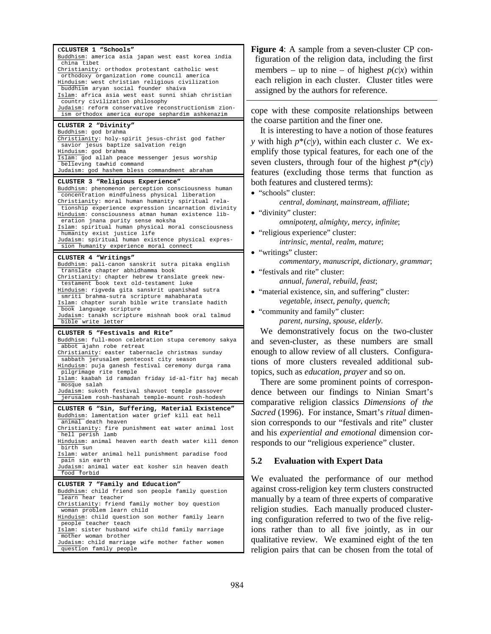| CCLUSTER 1 "Schools"                                                                                |  |  |  |  |
|-----------------------------------------------------------------------------------------------------|--|--|--|--|
| Buddhism: america asia japan west east korea india                                                  |  |  |  |  |
| china tibet                                                                                         |  |  |  |  |
| Christianity: orthodox protestant catholic west<br>orthodoxy organization rome council america      |  |  |  |  |
| Hinduism: west christian religious civilization                                                     |  |  |  |  |
| buddhism aryan social founder shaiva                                                                |  |  |  |  |
| Islam: africa asia west east sunni shiah christian<br>country civilization philosophy               |  |  |  |  |
| Judaism: reform conservative reconstructionism zion-                                                |  |  |  |  |
| ism orthodox america europe sephardim ashkenazim                                                    |  |  |  |  |
| CLUSTER 2 "Divinity"                                                                                |  |  |  |  |
| Buddhism: god brahma<br>Christianity: holy-spirit jesus-christ god father                           |  |  |  |  |
| savior jesus baptize salvation reign                                                                |  |  |  |  |
| Hinduism: god brahma                                                                                |  |  |  |  |
| Islam: god allah peace messenger jesus worship<br>believing tawhid command                          |  |  |  |  |
| Judaism: god hashem bless commandment abraham                                                       |  |  |  |  |
| CLUSTER 3 "Religious Experience"                                                                    |  |  |  |  |
| Buddhism: phenomenon perception consciousness human                                                 |  |  |  |  |
| concentration mindfulness physical liberation<br>Christianity: moral human humanity spiritual rela- |  |  |  |  |
| tionship experience expression incarnation divinity                                                 |  |  |  |  |
| Hinduism: consciousness atman human existence lib-<br>eration jnana purity sense moksha             |  |  |  |  |
| Islam: spiritual human physical moral consciousness                                                 |  |  |  |  |
| humanity exist justice life                                                                         |  |  |  |  |
| Judaism: spiritual human existence physical expres-<br>sion humanity experience moral connect       |  |  |  |  |
| CLUSTER 4 "Writings"                                                                                |  |  |  |  |
| Buddhism: pali-canon sanskrit sutra pitaka english                                                  |  |  |  |  |
| translate chapter abhidhamma book                                                                   |  |  |  |  |
| Christianity: chapter hebrew translate greek new-<br>testament book text old-testament luke         |  |  |  |  |
| Hinduism: rigveda gita sanskrit upanishad sutra                                                     |  |  |  |  |
| smriti brahma-sutra scripture mahabharata<br>Islam: chapter surah bible write translate hadith      |  |  |  |  |
| book language scripture                                                                             |  |  |  |  |
| Judaism: tanakh scripture mishnah book oral talmud<br>bible write letter                            |  |  |  |  |
|                                                                                                     |  |  |  |  |
|                                                                                                     |  |  |  |  |
| CLUSTER 5 "Festivals and Rite"<br>Buddhism: full-moon celebration stupa ceremony sakya              |  |  |  |  |
| abbot ajahn robe retreat                                                                            |  |  |  |  |
| Christianity: easter tabernacle christmas sunday                                                    |  |  |  |  |
| sabbath jerusalem pentecost city season<br>Hinduism: puja ganesh festival ceremony durga rama       |  |  |  |  |
| pilgrimage rite temple                                                                              |  |  |  |  |
| Islam: kaabah id ramadan friday id-al-fitr haj mecah<br>mosque salah                                |  |  |  |  |
| Judaism: sukoth festival shavuot temple passover                                                    |  |  |  |  |
| jerusalem rosh-hashanah temple-mount rosh-hodesh                                                    |  |  |  |  |
| CLUSTER 6 "Sin, Suffering, Material Existence"                                                      |  |  |  |  |
| Buddhism: lamentation water grief kill eat hell<br>animal death heaven                              |  |  |  |  |
| Christianity: fire punishment eat water animal lost                                                 |  |  |  |  |
| hell perish lamb<br>Hinduism: animal heaven earth death water kill demon                            |  |  |  |  |
| birth sun                                                                                           |  |  |  |  |
| Islam: water animal hell punishment paradise food<br>pain sin earth                                 |  |  |  |  |
| Judaism: animal water eat kosher sin heaven death                                                   |  |  |  |  |
| food forbid<br><u> 1989 - Johann Stoff, Amerikaansk politiker (</u>                                 |  |  |  |  |
| CLUSTER 7 "Family and Education"                                                                    |  |  |  |  |
| Buddhism: child friend son people family question<br>learn hear teacher                             |  |  |  |  |
| Christianity: friend family mother boy question                                                     |  |  |  |  |
| woman problem learn child<br>Hinduism: child question son mother family learn                       |  |  |  |  |
| people teacher teach                                                                                |  |  |  |  |
| Islam: sister husband wife child family marriage                                                    |  |  |  |  |
| mother woman brother<br>Judaism: child marriage wife mother father women<br>question family people  |  |  |  |  |

**Figure 4**: A sample from a seven-cluster CP configuration of the religion data, including the first members – up to nine – of highest  $p(c|x)$  within each religion in each cluster. Cluster titles were assigned by the authors for reference.

cope with these composite relationships between the coarse partition and the finer one.

It is interesting to have a notion of those features *y* with high  $p^*(c|y)$ , within each cluster *c*. We exemplify those typical features, for each one of the seven clusters, through four of the highest  $p^*(c|y)$ features (excluding those terms that function as both features and clustered terms):

• "schools" cluster:

*central*, *dominant*, *mainstream*, *affiliate*;

• "divinity" cluster:  $omnipotent, almighty, mercy, infinite;$ 

- "religious experience" cluster: *intrinsic*, *mental*, *realm*, *mature*;
- "writings" cluster:
	- *commentary*, *manuscript*, *dictionary*, *grammar*;
- "festivals and rite" cluster: *annual*, *funeral*, *rebuild*, *feast*;
- "material existence, sin, and suffering" cluster: *vegetable*, *insect*, *penalty*, *quench*;
- "community and family" cluster:

*parent*, *nursing*, *spouse*, *elderly*.

We demonstratively focus on the two-cluster and seven-cluster, as these numbers are small enough to allow review of all clusters. Configurations of more clusters revealed additional subtopics, such as *education*, *prayer* and so on.

There are some prominent points of correspondence between our findings to Ninian Smart's comparative religion classics *Dimensions of the Sacred* (1996). For instance, Smart's *ritual* dimension corresponds to our "festivals and rite" cluster and his *experiential and emotional* dimension corresponds to our "religious experience" cluster.

## **5.2 Evaluation with Expert Data**

We evaluated the performance of our method against cross-religion key term clusters constructed manually by a team of three experts of comparative religion studies. Each manually produced clustering configuration referred to two of the five religions rather than to all five jointly, as in our qualitative review. We examined eight of the ten religion pairs that can be chosen from the total of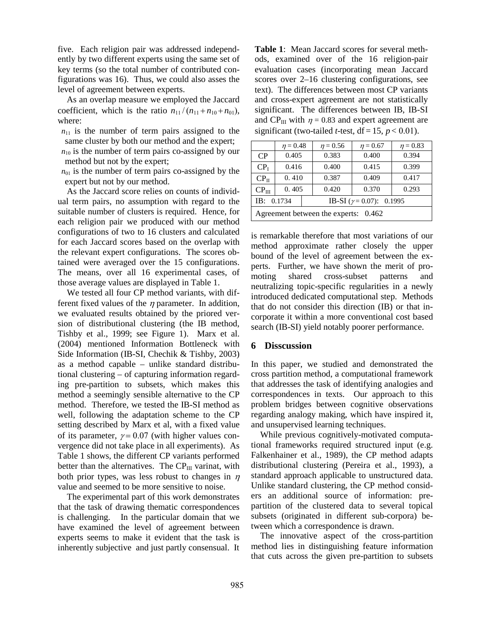five. Each religion pair was addressed independently by two different experts using the same set of key terms (so the total number of contributed configurations was 16). Thus, we could also asses the level of agreement between experts.

As an overlap measure we employed the Jaccard coefficient, which is the ratio  $n_{11}/(n_{11}+n_{10}+n_{01}),$ where:

 $n_{11}$  is the number of term pairs assigned to the same cluster by both our method and the expert;

- $n_{10}$  is the number of term pairs co-assigned by our method but not by the expert;
- $n_{01}$  is the number of term pairs co-assigned by the expert but not by our method.

As the Jaccard score relies on counts of individual term pairs, no assumption with regard to the suitable number of clusters is required. Hence, for each religion pair we produced with our method configurations of two to 16 clusters and calculated for each Jaccard scores based on the overlap with the relevant expert configurations. The scores obtained were averaged over the 15 configurations. The means, over all 16 experimental cases, of those average values are displayed in Table 1.

We tested all four CP method variants, with different fixed values of the  $\eta$  parameter. In addition, we evaluated results obtained by the priored version of distributional clustering (the IB method, Tishby et al., 1999; see Figure 1). Marx et al. (2004) mentioned Information Bottleneck with Side Information (IB-SI, Chechik & Tishby, 2003) as a method capable – unlike standard distributional clustering – of capturing information regarding pre-partition to subsets, which makes this method a seemingly sensible alternative to the CP method. Therefore, we tested the IB-SI method as well, following the adaptation scheme to the CP setting described by Marx et al, with a fixed value of its parameter,  $\gamma = 0.07$  (with higher values convergence did not take place in all experiments). As Table 1 shows, the different CP variants performed better than the alternatives. The  $\rm CP_{III}$  varinat, with both prior types, was less robust to changes in  $\eta$ value and seemed to be more sensitive to noise.

The experimental part of this work demonstrates that the task of drawing thematic correspondences is challenging. In the particular domain that we have examined the level of agreement between experts seems to make it evident that the task is inherently subjective and just partly consensual. It

**Table 1**: Mean Jaccard scores for several methods, examined over of the 16 religion-pair evaluation cases (incorporating mean Jaccard scores over 2–16 clustering configurations, see text). The differences between most CP variants and cross-expert agreement are not statistically significant. The differences between IB, IB-SI and CP $_{III}$  with  $\eta = 0.83$  and expert agreement are significant (two-tailed *t*-test,  $df = 15$ ,  $p < 0.01$ ).

|                                         | $\eta = 0.48$ | $\eta = 0.56$ | $\eta = 0.67$                    | $\eta = 0.83$ |  |
|-----------------------------------------|---------------|---------------|----------------------------------|---------------|--|
| CP                                      | 0.405         | 0.383         | 0.400                            | 0.394         |  |
| CP <sub>I</sub>                         | 0.416         | 0.400         | 0.415                            | 0.399         |  |
| CP <sub>II</sub>                        | 0.410         | 0.387         | 0.409                            | 0.417         |  |
| $CP_{III}$                              | 0.405         | 0.420         | 0.370                            | 0.293         |  |
| IB: 0.1734                              |               |               | IB-SI $(\gamma = 0.07)$ : 0.1995 |               |  |
| Agreement between the experts:<br>0.462 |               |               |                                  |               |  |

is remarkable therefore that most variations of our method approximate rather closely the upper bound of the level of agreement between the experts. Further, we have shown the merit of promoting shared cross-subset patterns and neutralizing topic-specific regularities in a newly introduced dedicated computational step. Methods that do not consider this direction (IB) or that incorporate it within a more conventional cost based search (IB-SI) yield notably poorer performance.

## **6 Disscussion**

In this paper, we studied and demonstrated the cross partition method, a computational framework that addresses the task of identifying analogies and correspondences in texts. Our approach to this problem bridges between cognitive observations regarding analogy making, which have inspired it, and unsupervised learning techniques.

While previous cognitively-motivated computational frameworks required structured input (e.g. Falkenhainer et al., 1989), the CP method adapts distributional clustering (Pereira et al., 1993), a standard approach applicable to unstructured data. Unlike standard clustering, the CP method considers an additional source of information: prepartition of the clustered data to several topical subsets (originated in different sub-corpora) between which a correspondence is drawn.

The innovative aspect of the cross-partition method lies in distinguishing feature information that cuts across the given pre-partition to subsets